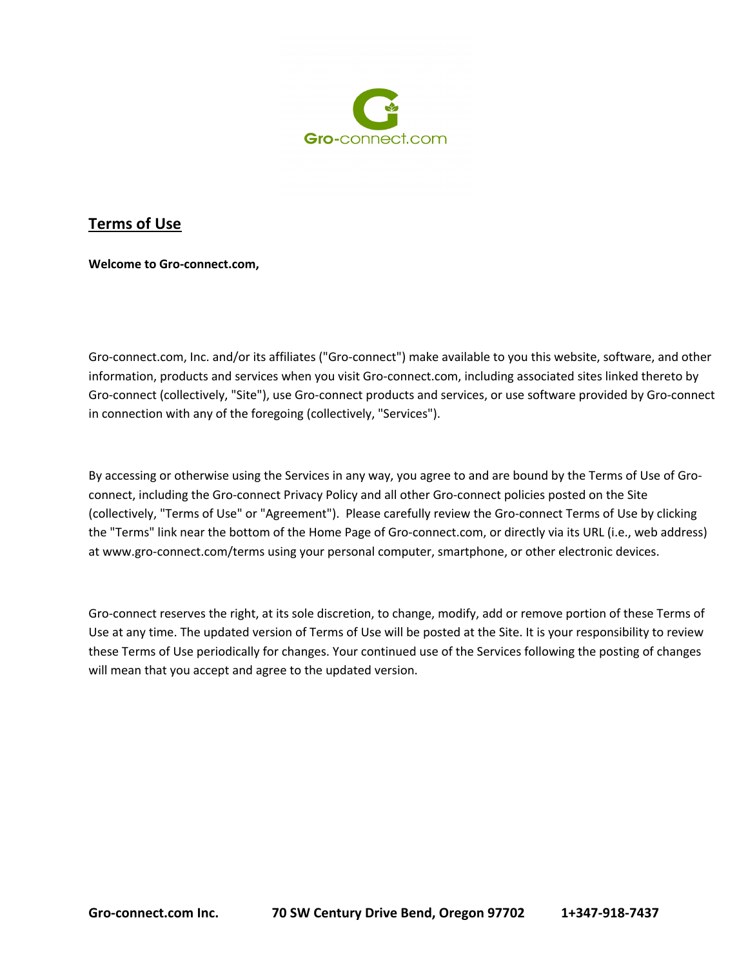

**Welcome to Gro-connect.com,**

Gro-connect.com, Inc. and/or its affiliates ("Gro-connect") make available to you this website, software, and other information, products and services when you visit Gro-connect.com, including associated sites linked thereto by Gro-connect (collectively, "Site"), use Gro-connect products and services, or use software provided by Gro-connect in connection with any of the foregoing (collectively, "Services").

By accessing or otherwise using the Services in any way, you agree to and are bound by the Terms of Use of Groconnect, including the Gro-connect Privacy Policy and all other Gro-connect policies posted on the Site (collectively, "Terms of Use" or "Agreement"). Please carefully review the Gro-connect Terms of Use by clicking the "Terms" link near the bottom of the Home Page of Gro-connect.com, or directly via its URL (i.e., web address) at www.gro-connect.com/terms using your personal computer, smartphone, or other electronic devices.

Gro-connect reserves the right, at its sole discretion, to change, modify, add or remove portion of these Terms of Use at any time. The updated version of Terms of Use will be posted at the Site. It is your responsibility to review these Terms of Use periodically for changes. Your continued use of the Services following the posting of changes will mean that you accept and agree to the updated version.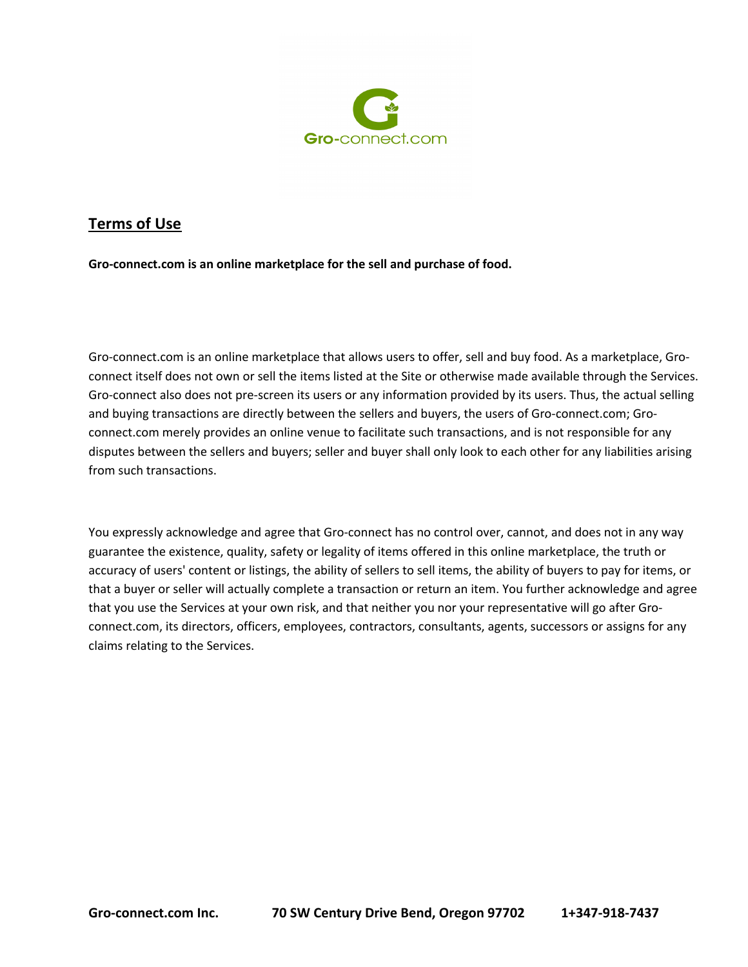

**Gro-connect.com is an online marketplace for the sell and purchase of food.**

Gro-connect.com is an online marketplace that allows users to offer, sell and buy food. As a marketplace, Groconnect itself does not own or sell the items listed at the Site or otherwise made available through the Services. Gro-connect also does not pre-screen its users or any information provided by its users. Thus, the actual selling and buying transactions are directly between the sellers and buyers, the users of Gro-connect.com; Groconnect.com merely provides an online venue to facilitate such transactions, and is not responsible for any disputes between the sellers and buyers; seller and buyer shall only look to each other for any liabilities arising from such transactions.

You expressly acknowledge and agree that Gro-connect has no control over, cannot, and does not in any way guarantee the existence, quality, safety or legality of items offered in this online marketplace, the truth or accuracy of users' content or listings, the ability of sellers to sell items, the ability of buyers to pay for items, or that a buyer or seller will actually complete a transaction or return an item. You further acknowledge and agree that you use the Services at your own risk, and that neither you nor your representative will go after Groconnect.com, its directors, officers, employees, contractors, consultants, agents, successors or assigns for any claims relating to the Services.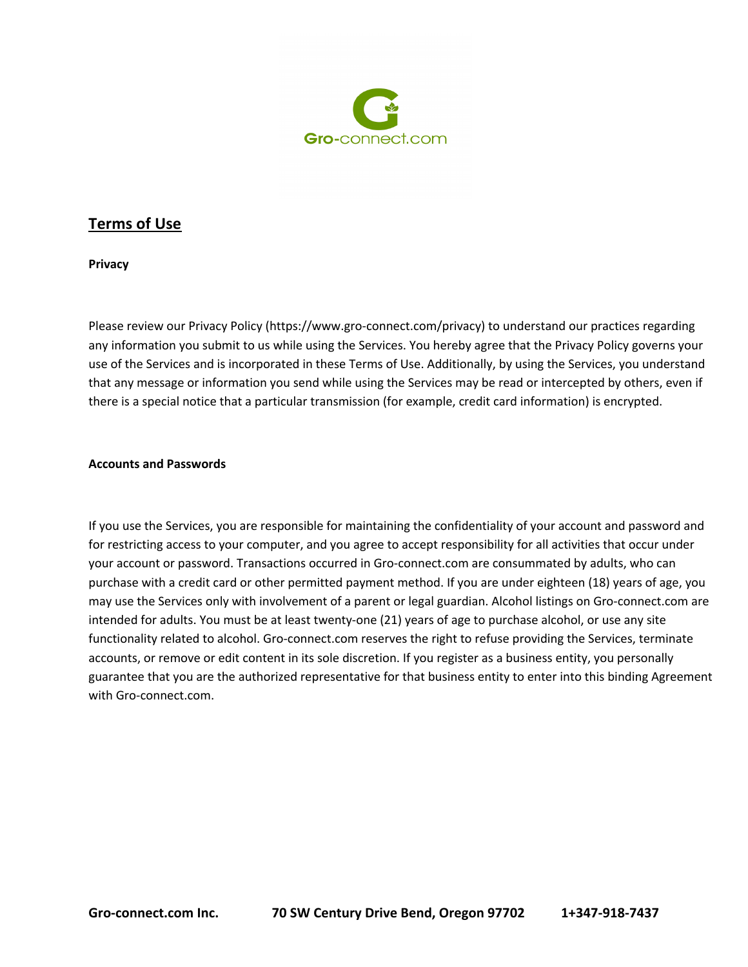

**Privacy**

Please review our Privacy Policy (https://www.gro-connect.com/privacy) to understand our practices regarding any information you submit to us while using the Services. You hereby agree that the Privacy Policy governs your use of the Services and is incorporated in these Terms of Use. Additionally, by using the Services, you understand that any message or information you send while using the Services may be read or intercepted by others, even if there is a special notice that a particular transmission (for example, credit card information) is encrypted.

#### **Accounts and Passwords**

If you use the Services, you are responsible for maintaining the confidentiality of your account and password and for restricting access to your computer, and you agree to accept responsibility for all activities that occur under your account or password. Transactions occurred in Gro-connect.com are consummated by adults, who can purchase with a credit card or other permitted payment method. If you are under eighteen (18) years of age, you may use the Services only with involvement of a parent or legal guardian. Alcohol listings on Gro-connect.com are intended for adults. You must be at least twenty-one (21) years of age to purchase alcohol, or use any site functionality related to alcohol. Gro-connect.com reserves the right to refuse providing the Services, terminate accounts, or remove or edit content in its sole discretion. If you register as a business entity, you personally guarantee that you are the authorized representative for that business entity to enter into this binding Agreement with Gro-connect.com.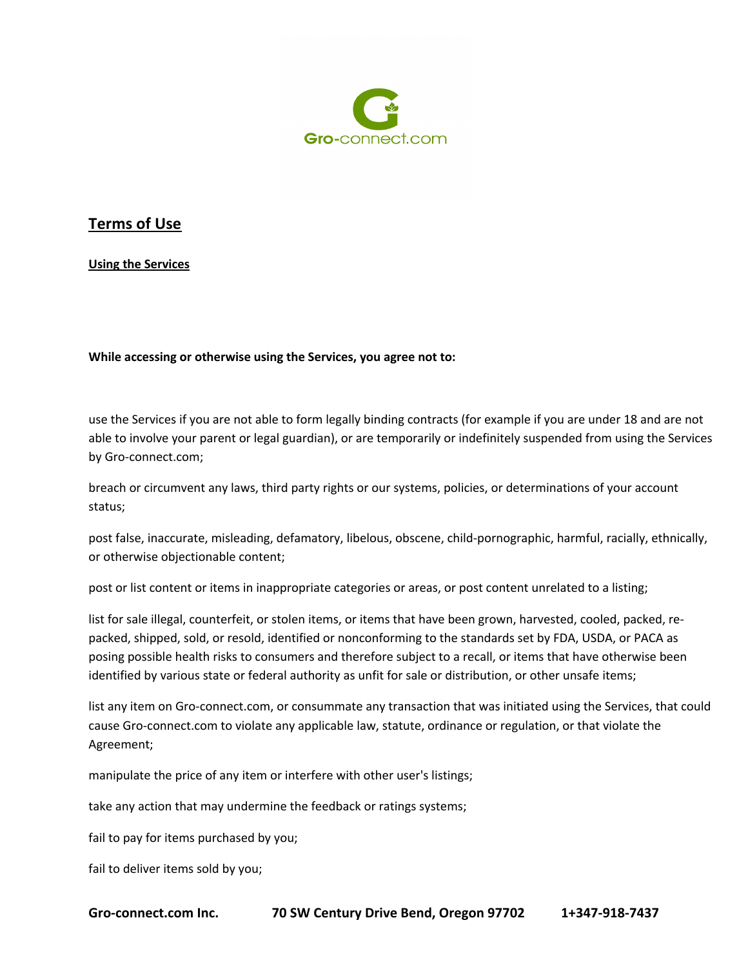

**Using the Services**

**While accessing or otherwise using the Services, you agree not to:**

use the Services if you are not able to form legally binding contracts (for example if you are under 18 and are not able to involve your parent or legal guardian), or are temporarily or indefinitely suspended from using the Services by Gro-connect.com;

breach or circumvent any laws, third party rights or our systems, policies, or determinations of your account status;

post false, inaccurate, misleading, defamatory, libelous, obscene, child-pornographic, harmful, racially, ethnically, or otherwise objectionable content;

post or list content or items in inappropriate categories or areas, or post content unrelated to a listing;

list for sale illegal, counterfeit, or stolen items, or items that have been grown, harvested, cooled, packed, repacked, shipped, sold, or resold, identified or nonconforming to the standards set by FDA, USDA, or PACA as posing possible health risks to consumers and therefore subject to a recall, or items that have otherwise been identified by various state or federal authority as unfit for sale or distribution, or other unsafe items;

list any item on Gro-connect.com, or consummate any transaction that was initiated using the Services, that could cause Gro-connect.com to violate any applicable law, statute, ordinance or regulation, or that violate the Agreement;

manipulate the price of any item or interfere with other user's listings;

take any action that may undermine the feedback or ratings systems;

fail to pay for items purchased by you;

fail to deliver items sold by you;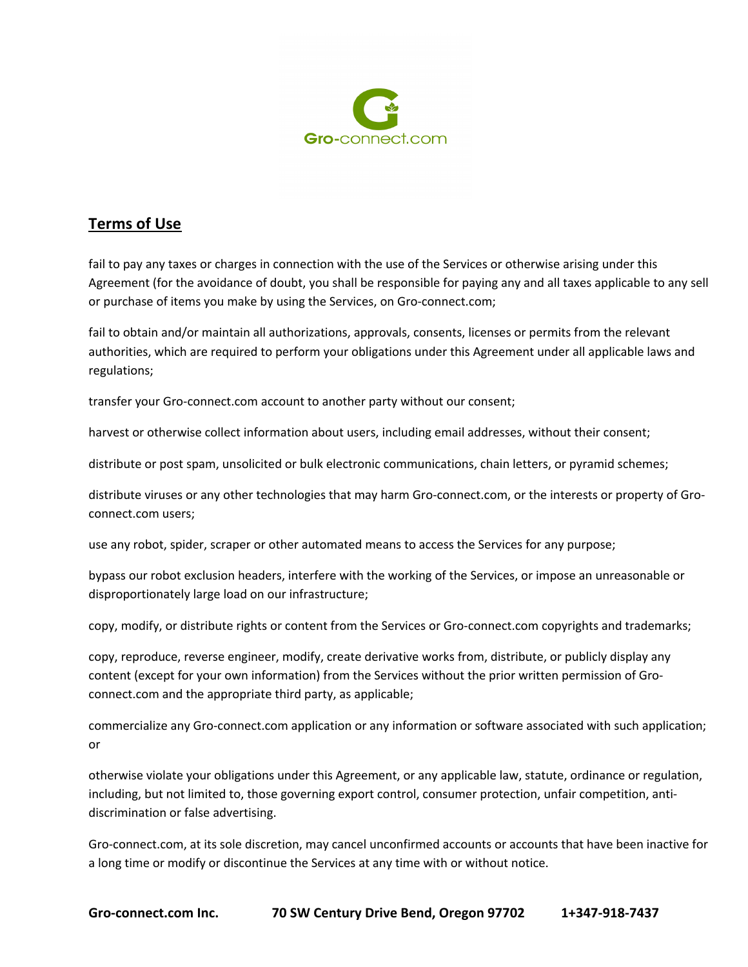

fail to pay any taxes or charges in connection with the use of the Services or otherwise arising under this Agreement (for the avoidance of doubt, you shall be responsible for paying any and all taxes applicable to any sell or purchase of items you make by using the Services, on Gro-connect.com;

fail to obtain and/or maintain all authorizations, approvals, consents, licenses or permits from the relevant authorities, which are required to perform your obligations under this Agreement under all applicable laws and regulations;

transfer your Gro-connect.com account to another party without our consent;

harvest or otherwise collect information about users, including email addresses, without their consent;

distribute or post spam, unsolicited or bulk electronic communications, chain letters, or pyramid schemes;

distribute viruses or any other technologies that may harm Gro-connect.com, or the interests or property of Groconnect.com users;

use any robot, spider, scraper or other automated means to access the Services for any purpose;

bypass our robot exclusion headers, interfere with the working of the Services, or impose an unreasonable or disproportionately large load on our infrastructure;

copy, modify, or distribute rights or content from the Services or Gro-connect.com copyrights and trademarks;

copy, reproduce, reverse engineer, modify, create derivative works from, distribute, or publicly display any content (except for your own information) from the Services without the prior written permission of Groconnect.com and the appropriate third party, as applicable;

commercialize any Gro-connect.com application or any information or software associated with such application; or

otherwise violate your obligations under this Agreement, or any applicable law, statute, ordinance or regulation, including, but not limited to, those governing export control, consumer protection, unfair competition, antidiscrimination or false advertising.

Gro-connect.com, at its sole discretion, may cancel unconfirmed accounts or accounts that have been inactive for a long time or modify or discontinue the Services at any time with or without notice.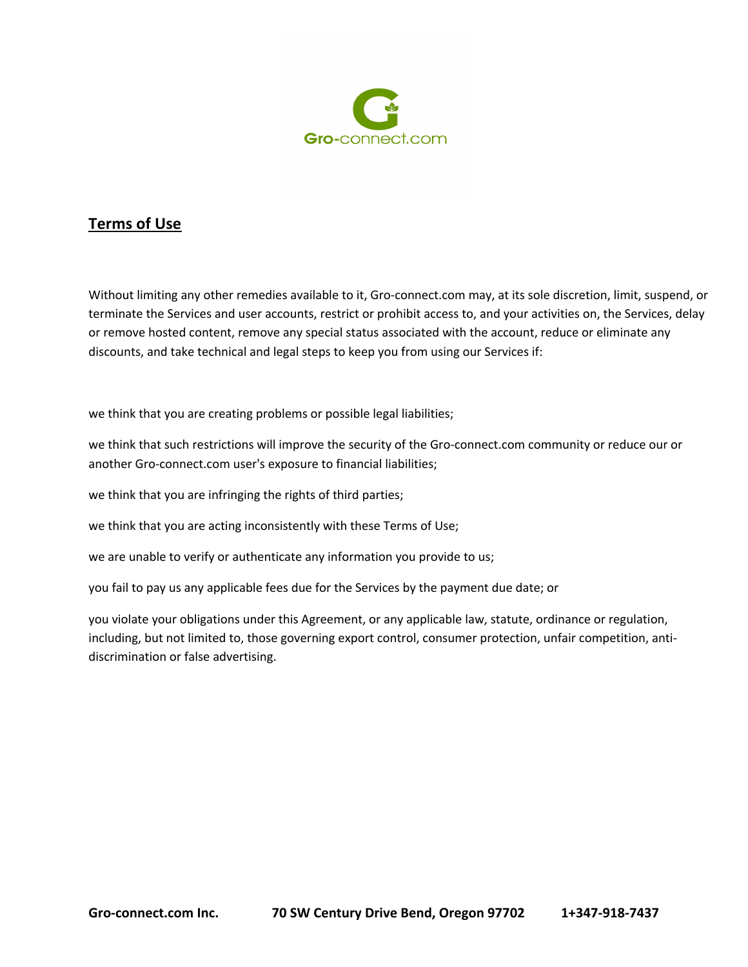

Without limiting any other remedies available to it, Gro-connect.com may, at its sole discretion, limit, suspend, or terminate the Services and user accounts, restrict or prohibit access to, and your activities on, the Services, delay or remove hosted content, remove any special status associated with the account, reduce or eliminate any discounts, and take technical and legal steps to keep you from using our Services if:

we think that you are creating problems or possible legal liabilities;

we think that such restrictions will improve the security of the Gro-connect.com community or reduce our or another Gro-connect.com user's exposure to financial liabilities;

we think that you are infringing the rights of third parties;

we think that you are acting inconsistently with these Terms of Use;

we are unable to verify or authenticate any information you provide to us;

you fail to pay us any applicable fees due for the Services by the payment due date; or

you violate your obligations under this Agreement, or any applicable law, statute, ordinance or regulation, including, but not limited to, those governing export control, consumer protection, unfair competition, antidiscrimination or false advertising.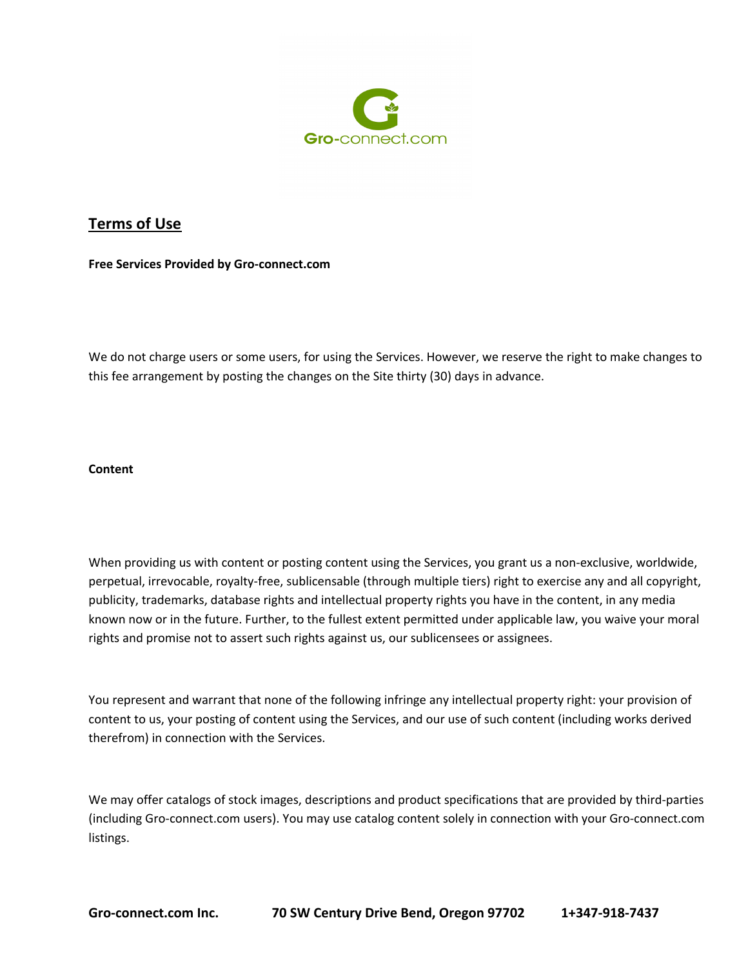

**Free Services Provided by Gro-connect.com**

We do not charge users or some users, for using the Services. However, we reserve the right to make changes to this fee arrangement by posting the changes on the Site thirty (30) days in advance.

#### **Content**

When providing us with content or posting content using the Services, you grant us a non-exclusive, worldwide, perpetual, irrevocable, royalty-free, sublicensable (through multiple tiers) right to exercise any and all copyright, publicity, trademarks, database rights and intellectual property rights you have in the content, in any media known now or in the future. Further, to the fullest extent permitted under applicable law, you waive your moral rights and promise not to assert such rights against us, our sublicensees or assignees.

You represent and warrant that none of the following infringe any intellectual property right: your provision of content to us, your posting of content using the Services, and our use of such content (including works derived therefrom) in connection with the Services.

We may offer catalogs of stock images, descriptions and product specifications that are provided by third-parties (including Gro-connect.com users). You may use catalog content solely in connection with your Gro-connect.com listings.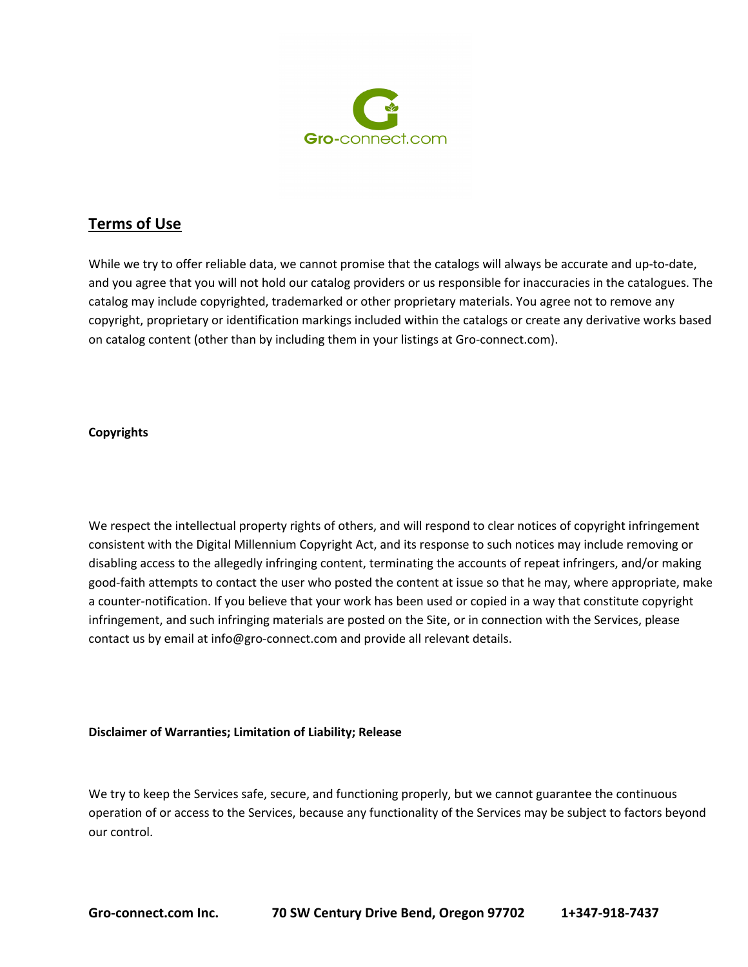

While we try to offer reliable data, we cannot promise that the catalogs will always be accurate and up-to-date, and you agree that you will not hold our catalog providers or us responsible for inaccuracies in the catalogues. The catalog may include copyrighted, trademarked or other proprietary materials. You agree not to remove any copyright, proprietary or identification markings included within the catalogs or create any derivative works based on catalog content (other than by including them in your listings at Gro-connect.com).

#### **Copyrights**

We respect the intellectual property rights of others, and will respond to clear notices of copyright infringement consistent with the Digital Millennium Copyright Act, and its response to such notices may include removing or disabling access to the allegedly infringing content, terminating the accounts of repeat infringers, and/or making good-faith attempts to contact the user who posted the content at issue so that he may, where appropriate, make a counter-notification. If you believe that your work has been used or copied in a way that constitute copyright infringement, and such infringing materials are posted on the Site, or in connection with the Services, please contact us by email at info@gro-connect.com and provide all relevant details.

#### **Disclaimer of Warranties; Limitation of Liability; Release**

We try to keep the Services safe, secure, and functioning properly, but we cannot guarantee the continuous operation of or access to the Services, because any functionality of the Services may be subject to factors beyond our control.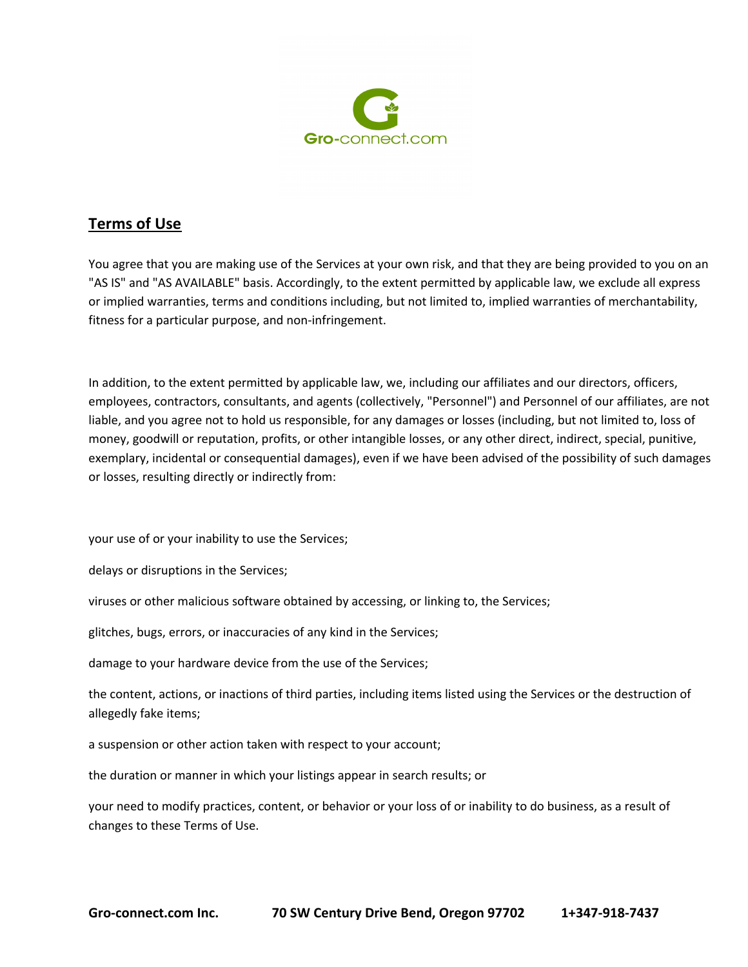

You agree that you are making use of the Services at your own risk, and that they are being provided to you on an "AS IS" and "AS AVAILABLE" basis. Accordingly, to the extent permitted by applicable law, we exclude all express or implied warranties, terms and conditions including, but not limited to, implied warranties of merchantability, fitness for a particular purpose, and non-infringement.

In addition, to the extent permitted by applicable law, we, including our affiliates and our directors, officers, employees, contractors, consultants, and agents (collectively, "Personnel") and Personnel of our affiliates, are not liable, and you agree not to hold us responsible, for any damages or losses (including, but not limited to, loss of money, goodwill or reputation, profits, or other intangible losses, or any other direct, indirect, special, punitive, exemplary, incidental or consequential damages), even if we have been advised of the possibility of such damages or losses, resulting directly or indirectly from:

your use of or your inability to use the Services;

delays or disruptions in the Services;

viruses or other malicious software obtained by accessing, or linking to, the Services;

glitches, bugs, errors, or inaccuracies of any kind in the Services;

damage to your hardware device from the use of the Services;

the content, actions, or inactions of third parties, including items listed using the Services or the destruction of allegedly fake items;

a suspension or other action taken with respect to your account;

the duration or manner in which your listings appear in search results; or

your need to modify practices, content, or behavior or your loss of or inability to do business, as a result of changes to these Terms of Use.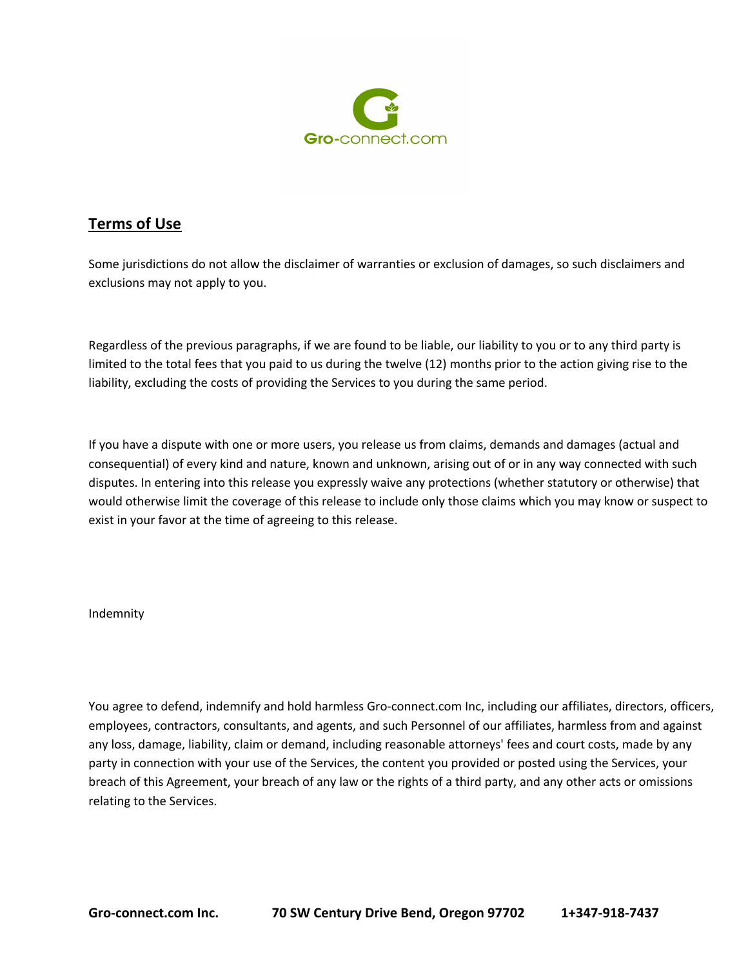

Some jurisdictions do not allow the disclaimer of warranties or exclusion of damages, so such disclaimers and exclusions may not apply to you.

Regardless of the previous paragraphs, if we are found to be liable, our liability to you or to any third party is limited to the total fees that you paid to us during the twelve (12) months prior to the action giving rise to the liability, excluding the costs of providing the Services to you during the same period.

If you have a dispute with one or more users, you release us from claims, demands and damages (actual and consequential) of every kind and nature, known and unknown, arising out of or in any way connected with such disputes. In entering into this release you expressly waive any protections (whether statutory or otherwise) that would otherwise limit the coverage of this release to include only those claims which you may know or suspect to exist in your favor at the time of agreeing to this release.

### Indemnity

You agree to defend, indemnify and hold harmless Gro-connect.com Inc, including our affiliates, directors, officers, employees, contractors, consultants, and agents, and such Personnel of our affiliates, harmless from and against any loss, damage, liability, claim or demand, including reasonable attorneys' fees and court costs, made by any party in connection with your use of the Services, the content you provided or posted using the Services, your breach of this Agreement, your breach of any law or the rights of a third party, and any other acts or omissions relating to the Services.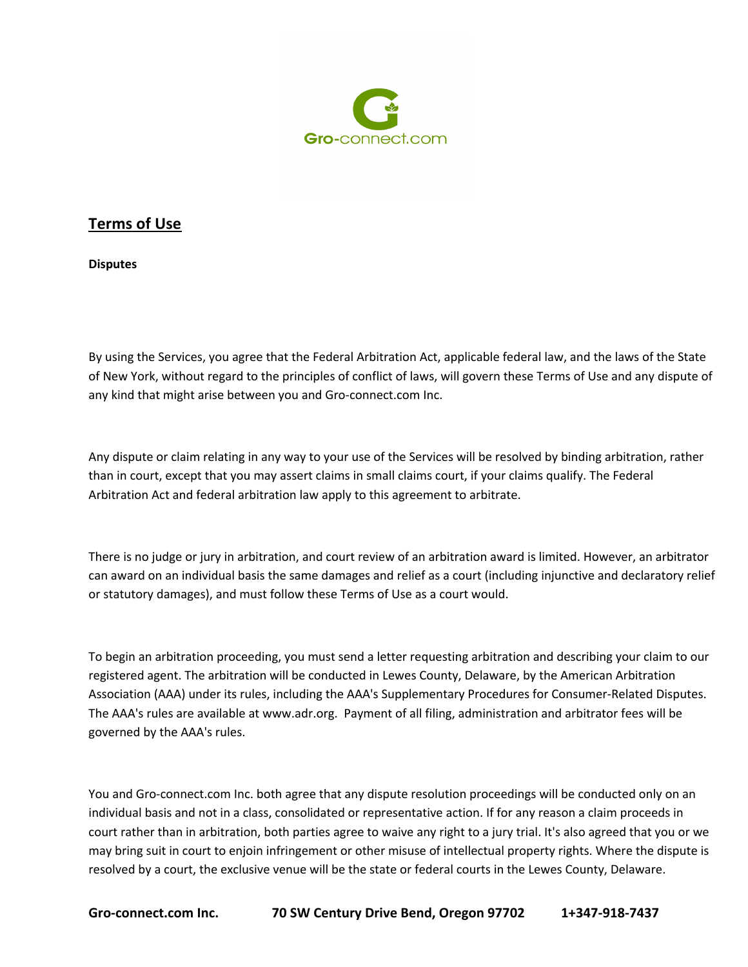

**Disputes**

By using the Services, you agree that the Federal Arbitration Act, applicable federal law, and the laws of the State of New York, without regard to the principles of conflict of laws, will govern these Terms of Use and any dispute of any kind that might arise between you and Gro-connect.com Inc.

Any dispute or claim relating in any way to your use of the Services will be resolved by binding arbitration, rather than in court, except that you may assert claims in small claims court, if your claims qualify. The Federal Arbitration Act and federal arbitration law apply to this agreement to arbitrate.

There is no judge or jury in arbitration, and court review of an arbitration award is limited. However, an arbitrator can award on an individual basis the same damages and relief as a court (including injunctive and declaratory relief or statutory damages), and must follow these Terms of Use as a court would.

To begin an arbitration proceeding, you must send a letter requesting arbitration and describing your claim to our registered agent. The arbitration will be conducted in Lewes County, Delaware, by the American Arbitration Association (AAA) under its rules, including the AAA's Supplementary Procedures for Consumer-Related Disputes. The AAA's rules are available at www.adr.org. Payment of all filing, administration and arbitrator fees will be governed by the AAA's rules.

You and Gro-connect.com Inc. both agree that any dispute resolution proceedings will be conducted only on an individual basis and not in a class, consolidated or representative action. If for any reason a claim proceeds in court rather than in arbitration, both parties agree to waive any right to a jury trial. It's also agreed that you or we may bring suit in court to enjoin infringement or other misuse of intellectual property rights. Where the dispute is resolved by a court, the exclusive venue will be the state or federal courts in the Lewes County, Delaware.